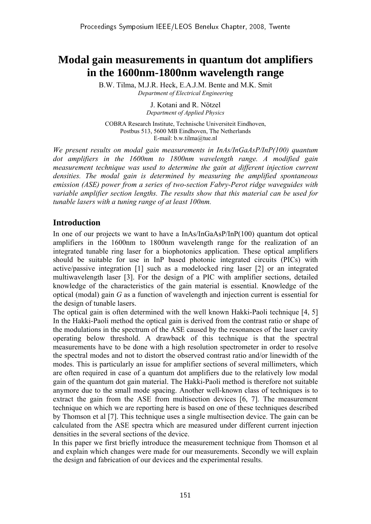# **Modal gain measurements in quantum dot amplifiers in the 1600nm-1800nm wavelength range**

B.W. Tilma, M.J.R. Heck, E.A.J.M. Bente and M.K. Smit *Department of Electrical Engineering* 

> J. Kotani and R. Nötzel *Department of Applied Physics*

COBRA Research Institute, Technische Universiteit Eindhoven, Postbus 513, 5600 MB Eindhoven, The Netherlands E-mail: b.w.tilma@tue.nl

*We present results on modal gain measurements in InAs/InGaAsP/InP(100) quantum dot amplifiers in the 1600nm to 1800nm wavelength range. A modified gain measurement technique was used to determine the gain at different injection current densities. The modal gain is determined by measuring the amplified spontaneous emission (ASE) power from a series of two-section Fabry-Perot ridge waveguides with variable amplifier section lengths. The results show that this material can be used for tunable lasers with a tuning range of at least 100nm.* 

## **Introduction**

In one of our projects we want to have a InAs/InGaAsP/InP(100) quantum dot optical amplifiers in the 1600nm to 1800nm wavelength range for the realization of an integrated tunable ring laser for a biophotonics application. These optical amplifiers should be suitable for use in InP based photonic integrated circuits (PICs) with active/passive integration [1] such as a modelocked ring laser [2] or an integrated multiwavelength laser [3]. For the design of a PIC with amplifier sections, detailed knowledge of the characteristics of the gain material is essential. Knowledge of the optical (modal) gain *G* as a function of wavelength and injection current is essential for the design of tunable lasers.

The optical gain is often determined with the well known Hakki-Paoli technique [4, 5] In the Hakki-Paoli method the optical gain is derived from the contrast ratio or shape of the modulations in the spectrum of the ASE caused by the resonances of the laser cavity operating below threshold. A drawback of this technique is that the spectral measurements have to be done with a high resolution spectrometer in order to resolve the spectral modes and not to distort the observed contrast ratio and/or linewidth of the modes. This is particularly an issue for amplifier sections of several millimeters, which are often required in case of a quantum dot amplifiers due to the relatively low modal gain of the quantum dot gain material. The Hakki-Paoli method is therefore not suitable anymore due to the small mode spacing. Another well-known class of techniques is to extract the gain from the ASE from multisection devices [6, 7]. The measurement technique on which we are reporting here is based on one of these techniques described by Thomson et al [7]. This technique uses a single multisection device. The gain can be calculated from the ASE spectra which are measured under different current injection densities in the several sections of the device.

In this paper we first briefly introduce the measurement technique from Thomson et al and explain which changes were made for our measurements. Secondly we will explain the design and fabrication of our devices and the experimental results.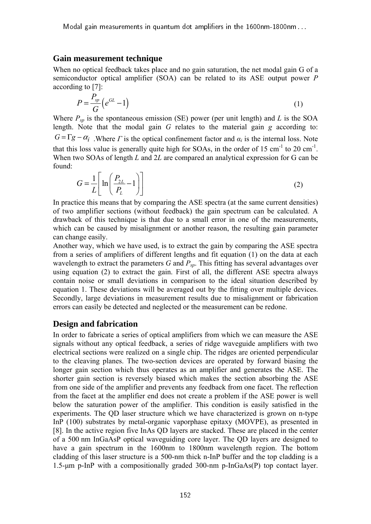Modal gain measurements in quantum dot amplifiers in the 1600nm-1800nm

#### **Gain measurement technique**

When no optical feedback takes place and no gain saturation, the net modal gain G of a semiconductor optical amplifier (SOA) can be related to its ASE output power *P* according to [7]:

$$
P = \frac{P_{sp}}{G} \left( e^{GL} - 1 \right) \tag{1}
$$

Where  $P_{sp}$  is the spontaneous emission (SE) power (per unit length) and *L* is the SOA length. Note that the modal gain *G* relates to the material gain *g* according to:  $G = \Gamma g - \alpha_i$ . Where *Γ* is the optical confinement factor and  $\alpha_i$  is the internal loss. Note that this loss value is generally quite high for SOAs, in the order of 15 cm<sup>-1</sup> to 20 cm<sup>-1</sup>. When two SOAs of length *L* and 2*L* are compared an analytical expression for G can be found:

$$
G = \frac{1}{L} \left[ \ln \left( \frac{P_{2L}}{P_L} - 1 \right) \right]
$$
 (2)

In practice this means that by comparing the ASE spectra (at the same current densities) of two amplifier sections (without feedback) the gain spectrum can be calculated. A drawback of this technique is that due to a small error in one of the measurements, which can be caused by misalignment or another reason, the resulting gain parameter can change easily.

Another way, which we have used, is to extract the gain by comparing the ASE spectra from a series of amplifiers of different lengths and fit equation (1) on the data at each wavelength to extract the parameters  $G$  and  $P_{sp}$ . This fitting has several advantages over using equation (2) to extract the gain. First of all, the different ASE spectra always contain noise or small deviations in comparison to the ideal situation described by equation 1. These deviations will be averaged out by the fitting over multiple devices. Secondly, large deviations in measurement results due to misalignment or fabrication errors can easily be detected and neglected or the measurement can be redone.

#### **Design and fabrication**

In order to fabricate a series of optical amplifiers from which we can measure the ASE signals without any optical feedback, a series of ridge waveguide amplifiers with two electrical sections were realized on a single chip. The ridges are oriented perpendicular to the cleaving planes. The two-section devices are operated by forward biasing the longer gain section which thus operates as an amplifier and generates the ASE. The shorter gain section is reversely biased which makes the section absorbing the ASE from one side of the amplifier and prevents any feedback from one facet. The reflection from the facet at the amplifier end does not create a problem if the ASE power is well below the saturation power of the amplifier. This condition is easily satisfied in the experiments. The QD laser structure which we have characterized is grown on n-type InP (100) substrates by metal-organic vaporphase epitaxy (MOVPE), as presented in [8]. In the active region five InAs QD layers are stacked. These are placed in the center of a 500 nm InGaAsP optical waveguiding core layer. The QD layers are designed to have a gain spectrum in the 1600nm to 1800nm wavelength region. The bottom cladding of this laser structure is a 500-nm thick n-InP buffer and the top cladding is a 1.5-μm p-InP with a compositionally graded 300-nm p-InGaAs(P) top contact layer.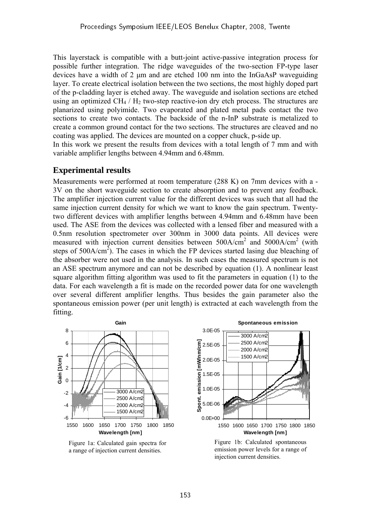This layerstack is compatible with a butt-joint active-passive integration process for possible further integration. The ridge waveguides of the two-section FP-type laser devices have a width of 2 μm and are etched 100 nm into the InGaAsP waveguiding layer. To create electrical isolation between the two sections, the most highly doped part of the p-cladding layer is etched away. The waveguide and isolation sections are etched using an optimized CH $_4$  / H<sub>2</sub> two-step reactive-ion dry etch process. The structures are planarized using polyimide. Two evaporated and plated metal pads contact the two sections to create two contacts. The backside of the n-InP substrate is metalized to create a common ground contact for the two sections. The structures are cleaved and no coating was applied. The devices are mounted on a copper chuck, p-side up.

In this work we present the results from devices with a total length of 7 mm and with variable amplifier lengths between 4.94mm and 6.48mm.

#### **Experimental results**

Measurements were performed at room temperature (288 K) on 7mm devices with a - 3V on the short waveguide section to create absorption and to prevent any feedback. The amplifier injection current value for the different devices was such that all had the same injection current density for which we want to know the gain spectrum. Twentytwo different devices with amplifier lengths between 4.94mm and 6.48mm have been used. The ASE from the devices was collected with a lensed fiber and measured with a 0.5nm resolution spectrometer over 300nm in 3000 data points. All devices were measured with injection current densities between  $500A/cm^2$  and  $5000A/cm^2$  (with steps of  $500A/cm^2$ ). The cases in which the FP devices started lasing due bleaching of the absorber were not used in the analysis. In such cases the measured spectrum is not an ASE spectrum anymore and can not be described by equation (1). A nonlinear least square algorithm fitting algorithm was used to fit the parameters in equation (1) to the data. For each wavelength a fit is made on the recorded power data for one wavelength over several different amplifier lengths. Thus besides the gain parameter also the spontaneous emission power (per unit length) is extracted at each wavelength from the fitting.



Figure 1a: Calculated gain spectra for a range of injection current densities.